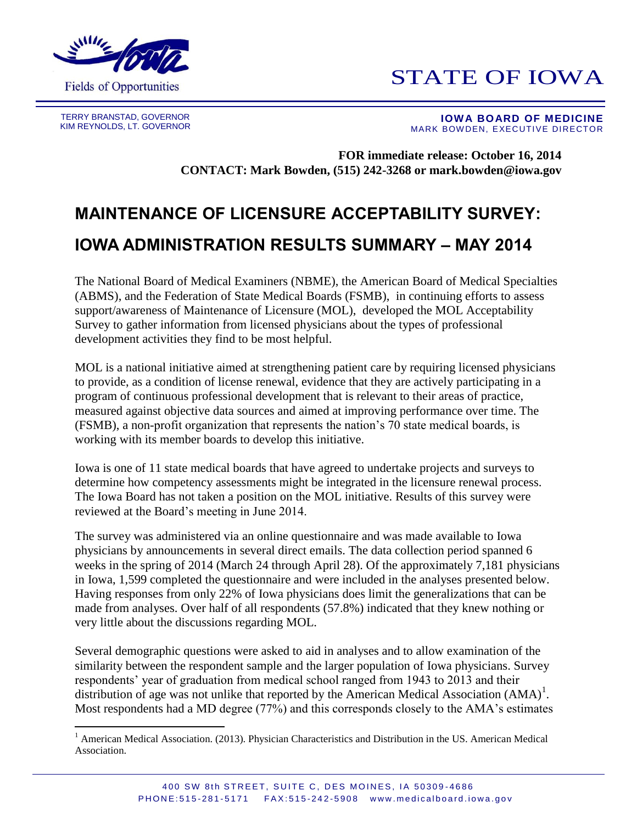

## STATE OF IOWA

TERRY BRANSTAD, GOVERNOR KIM REYNOLDS, LT. GOVERNOR

 $\overline{a}$ 

 **IOWA BOARD OF MEDICINE** MARK BOWDEN, EXECUTIVE DIRECTOR

**FOR immediate release: October 16, 2014 CONTACT: Mark Bowden, (515) 242-3268 or mark.bowden@iowa.gov**

## **MAINTENANCE OF LICENSURE ACCEPTABILITY SURVEY: IOWA ADMINISTRATION RESULTS SUMMARY – MAY 2014**

The National Board of Medical Examiners (NBME), the American Board of Medical Specialties (ABMS), and the Federation of State Medical Boards (FSMB), in continuing efforts to assess support/awareness of Maintenance of Licensure (MOL), developed the MOL Acceptability Survey to gather information from licensed physicians about the types of professional development activities they find to be most helpful.

MOL is a national initiative aimed at strengthening patient care by requiring licensed physicians to provide, as a condition of license renewal, evidence that they are actively participating in a program of continuous professional development that is relevant to their areas of practice, measured against objective data sources and aimed at improving performance over time. The (FSMB), a non-profit organization that represents the nation's 70 state medical boards, is working with its member boards to develop this initiative.

Iowa is one of 11 state medical boards that have agreed to undertake projects and surveys to determine how competency assessments might be integrated in the licensure renewal process. The Iowa Board has not taken a position on the MOL initiative. Results of this survey were reviewed at the Board's meeting in June 2014.

The survey was administered via an online questionnaire and was made available to Iowa physicians by announcements in several direct emails. The data collection period spanned 6 weeks in the spring of 2014 (March 24 through April 28). Of the approximately 7,181 physicians in Iowa, 1,599 completed the questionnaire and were included in the analyses presented below. Having responses from only 22% of Iowa physicians does limit the generalizations that can be made from analyses. Over half of all respondents (57.8%) indicated that they knew nothing or very little about the discussions regarding MOL.

Several demographic questions were asked to aid in analyses and to allow examination of the similarity between the respondent sample and the larger population of Iowa physicians. Survey respondents' year of graduation from medical school ranged from 1943 to 2013 and their distribution of age was not unlike that reported by the American Medical Association  $(AMA)^{1}$ . Most respondents had a MD degree (77%) and this corresponds closely to the AMA's estimates

<sup>&</sup>lt;sup>1</sup> American Medical Association. (2013). Physician Characteristics and Distribution in the US. American Medical Association.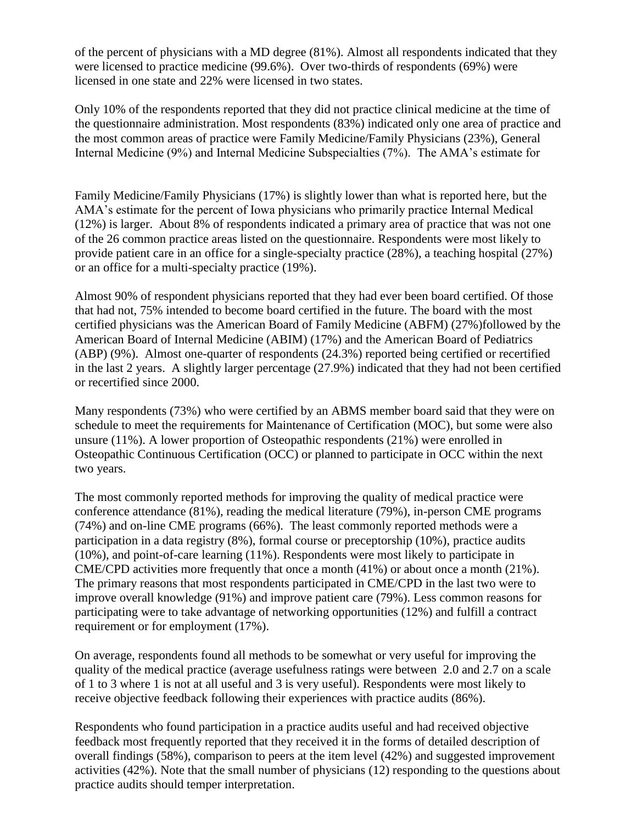of the percent of physicians with a MD degree (81%). Almost all respondents indicated that they were licensed to practice medicine (99.6%). Over two-thirds of respondents (69%) were licensed in one state and 22% were licensed in two states.

Only 10% of the respondents reported that they did not practice clinical medicine at the time of the questionnaire administration. Most respondents (83%) indicated only one area of practice and the most common areas of practice were Family Medicine/Family Physicians (23%), General Internal Medicine (9%) and Internal Medicine Subspecialties (7%). The AMA's estimate for

Family Medicine/Family Physicians (17%) is slightly lower than what is reported here, but the AMA's estimate for the percent of Iowa physicians who primarily practice Internal Medical (12%) is larger. About 8% of respondents indicated a primary area of practice that was not one of the 26 common practice areas listed on the questionnaire. Respondents were most likely to provide patient care in an office for a single-specialty practice (28%), a teaching hospital (27%) or an office for a multi-specialty practice (19%).

Almost 90% of respondent physicians reported that they had ever been board certified. Of those that had not, 75% intended to become board certified in the future. The board with the most certified physicians was the American Board of Family Medicine (ABFM) (27%)followed by the American Board of Internal Medicine (ABIM) (17%) and the American Board of Pediatrics (ABP) (9%). Almost one-quarter of respondents (24.3%) reported being certified or recertified in the last 2 years. A slightly larger percentage (27.9%) indicated that they had not been certified or recertified since 2000.

Many respondents (73%) who were certified by an ABMS member board said that they were on schedule to meet the requirements for Maintenance of Certification (MOC), but some were also unsure (11%). A lower proportion of Osteopathic respondents (21%) were enrolled in Osteopathic Continuous Certification (OCC) or planned to participate in OCC within the next two years.

The most commonly reported methods for improving the quality of medical practice were conference attendance (81%), reading the medical literature (79%), in-person CME programs (74%) and on-line CME programs (66%). The least commonly reported methods were a participation in a data registry (8%), formal course or preceptorship (10%), practice audits (10%), and point-of-care learning (11%). Respondents were most likely to participate in CME/CPD activities more frequently that once a month (41%) or about once a month (21%). The primary reasons that most respondents participated in CME/CPD in the last two were to improve overall knowledge (91%) and improve patient care (79%). Less common reasons for participating were to take advantage of networking opportunities (12%) and fulfill a contract requirement or for employment (17%).

On average, respondents found all methods to be somewhat or very useful for improving the quality of the medical practice (average usefulness ratings were between 2.0 and 2.7 on a scale of 1 to 3 where 1 is not at all useful and 3 is very useful). Respondents were most likely to receive objective feedback following their experiences with practice audits (86%).

Respondents who found participation in a practice audits useful and had received objective feedback most frequently reported that they received it in the forms of detailed description of overall findings (58%), comparison to peers at the item level (42%) and suggested improvement activities (42%). Note that the small number of physicians (12) responding to the questions about practice audits should temper interpretation.